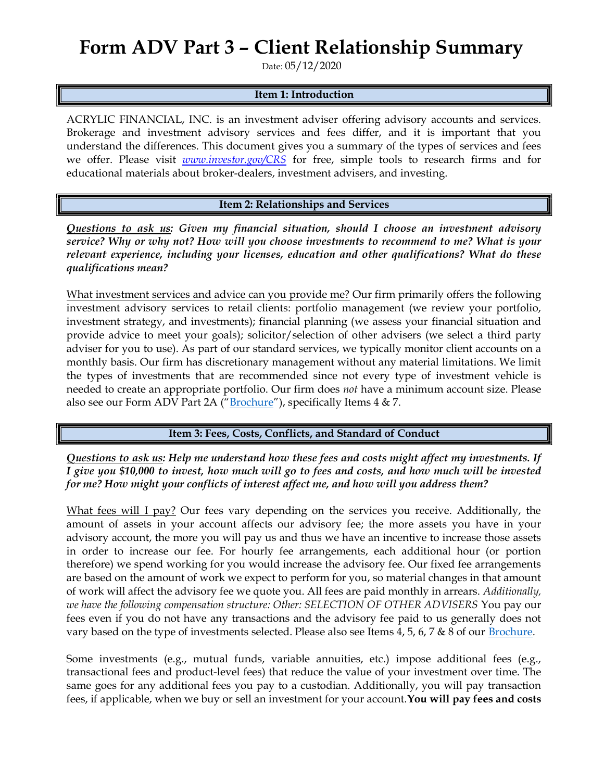## Form ADV Part 3 – Client Relationship Summary

Date: 05/12/2020

## Item 1: Introduction

ACRYLIC FINANCIAL, INC. is an investment adviser offering advisory accounts and services. Brokerage and investment advisory services and fees differ, and it is important that you understand the differences. This document gives you a summary of the types of services and fees we offer. Please visit *www.investor.gov/CRS* for free, simple tools to research firms and for educational materials about broker-dealers, investment advisers, and investing.

Item 2: Relationships and Services

Questions to ask us: Given my financial situation, should I choose an investment advisory service? Why or why not? How will you choose investments to recommend to me? What is your relevant experience, including your licenses, education and other qualifications? What do these qualifications mean?

What investment services and advice can you provide me? Our firm primarily offers the following investment advisory services to retail clients: portfolio management (we review your portfolio, investment strategy, and investments); financial planning (we assess your financial situation and provide advice to meet your goals); solicitor/selection of other advisers (we select a third party adviser for you to use). As part of our standard services, we typically monitor client accounts on a monthly basis. Our firm has discretionary management without any material limitations. We limit the types of investments that are recommended since not every type of investment vehicle is needed to create an appropriate portfolio. Our firm does not have a minimum account size. Please also see our Form ADV Part 2A ("Brochure"), specifically Items 4 & 7.

Item 3: Fees, Costs, Conflicts, and Standard of Conduct

Questions to ask us: Help me understand how these fees and costs might affect my investments. If I give you \$10,000 to invest, how much will go to fees and costs, and how much will be invested for me? How might your conflicts of interest affect me, and how will you address them?

What fees will I pay? Our fees vary depending on the services you receive. Additionally, the amount of assets in your account affects our advisory fee; the more assets you have in your advisory account, the more you will pay us and thus we have an incentive to increase those assets in order to increase our fee. For hourly fee arrangements, each additional hour (or portion therefore) we spend working for you would increase the advisory fee. Our fixed fee arrangements are based on the amount of work we expect to perform for you, so material changes in that amount of work will affect the advisory fee we quote you. All fees are paid monthly in arrears. Additionally, we have the following compensation structure: Other: SELECTION OF OTHER ADVISERS You pay our fees even if you do not have any transactions and the advisory fee paid to us generally does not vary based on the type of investments selected. Please also see Items 4, 5, 6, 7 & 8 of our Brochure.

Some investments (e.g., mutual funds, variable annuities, etc.) impose additional fees (e.g., transactional fees and product-level fees) that reduce the value of your investment over time. The same goes for any additional fees you pay to a custodian. Additionally, you will pay transaction fees, if applicable, when we buy or sell an investment for your account. You will pay fees and costs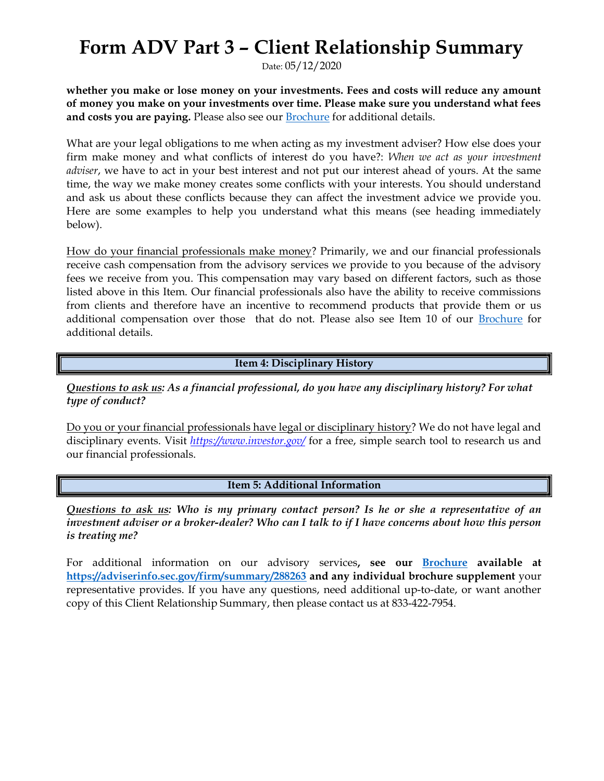## Form ADV Part 3 – Client Relationship Summary

Date: 05/12/2020

whether you make or lose money on your investments. Fees and costs will reduce any amount of money you make on your investments over time. Please make sure you understand what fees and costs you are paying. Please also see our **Brochure** for additional details.

What are your legal obligations to me when acting as my investment adviser? How else does your firm make money and what conflicts of interest do you have?: When we act as your investment *adviser*, we have to act in your best interest and not put our interest ahead of yours. At the same time, the way we make money creates some conflicts with your interests. You should understand and ask us about these conflicts because they can affect the investment advice we provide you. Here are some examples to help you understand what this means (see heading immediately below).

How do your financial professionals make money? Primarily, we and our financial professionals receive cash compensation from the advisory services we provide to you because of the advisory fees we receive from you. This compensation may vary based on different factors, such as those listed above in this Item. Our financial professionals also have the ability to receive commissions from clients and therefore have an incentive to recommend products that provide them or us additional compensation over those that do not. Please also see Item 10 of our Brochure for additional details.

Item 4: Disciplinary History

Questions to ask us: As a financial professional, do you have any disciplinary history? For what type of conduct?

Do you or your financial professionals have legal or disciplinary history? We do not have legal and disciplinary events. Visit https://www.investor.gov/ for a free, simple search tool to research us and our financial professionals.

Item 5: Additional Information

Questions to ask us: Who is my primary contact person? Is he or she a representative of an investment adviser or a broker-dealer? Who can I talk to if I have concerns about how this person is treating me?

For additional information on our advisory services, see our **Brochure available at** https://adviserinfo.sec.gov/firm/summary/288263 and any individual brochure supplement your representative provides. If you have any questions, need additional up-to-date, or want another copy of this Client Relationship Summary, then please contact us at 833-422-7954.